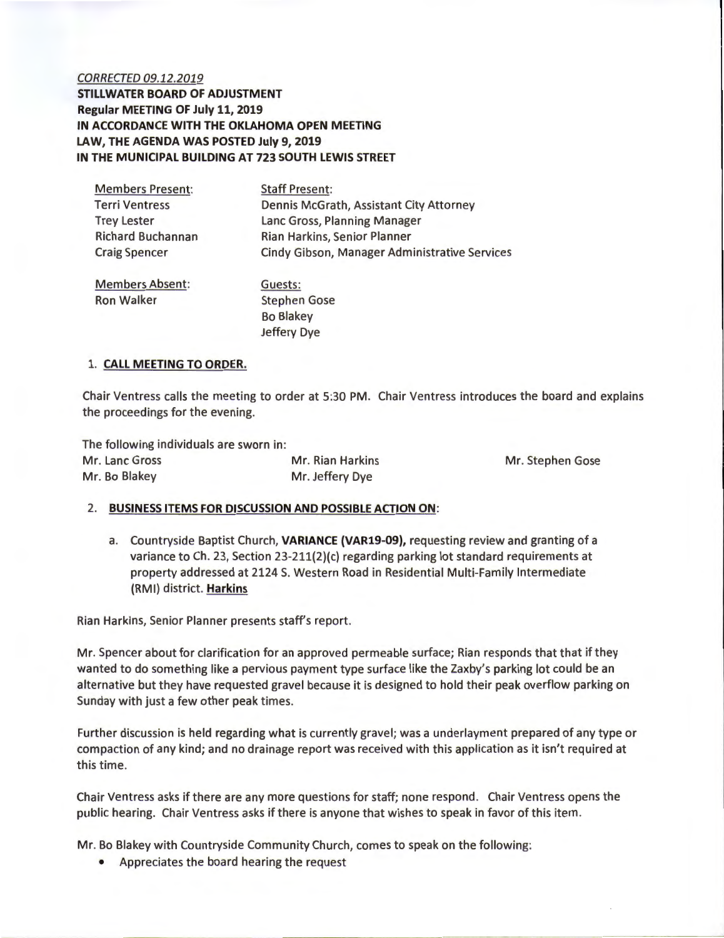## CORRECTED 09.12.2019 **STILLWATER BOARD OF ADJUSTMENT Regular MEETING OF July 11, 2019 IN ACCORDANCE WITH THE OKLAHOMA OPEN MEETING LAW, THE AGENDA WAS POSTED July 9, 2019 IN THE MUNICIPAL BUILDING AT 723 SOUTH LEWIS STREET**

| <b>Members Present:</b>  | <b>Staff Present:</b>                          |  |  |  |
|--------------------------|------------------------------------------------|--|--|--|
| <b>Terri Ventress</b>    | <b>Dennis McGrath, Assistant City Attorney</b> |  |  |  |
| <b>Trey Lester</b>       | Lanc Gross, Planning Manager                   |  |  |  |
| <b>Richard Buchannan</b> | Rian Harkins, Senior Planner                   |  |  |  |
| <b>Craig Spencer</b>     | Cindy Gibson, Manager Administrative Services  |  |  |  |
| <b>Members Absent:</b>   | Guests:                                        |  |  |  |
| <b>Ron Walker</b>        | <b>Stephen Gose</b>                            |  |  |  |
|                          | <b>Bo Blakev</b>                               |  |  |  |

Jeffery Dye

## 1. **CALL MEETING TO ORDER.**

Chair Ventress calls the meeting to order at 5:30 PM. Chair Ventress introduces the board and explains the proceedings for the evening.

The following individuals are sworn in: Mr. Lanc Gross **Mr. Rian Harkins** Mr. Row Mr. Stephen Gose Mr. Bo Blakey Mr. Jeffery Dye

## 2. **BUSINESS ITEMS FOR DISCUSSION AND POSSIBLE ACTION ON:**

a. Countryside Baptist Church, **VARIANCE (VAR19-09),** requesting review and granting of a variance to Ch. 23, Section 23-211{2)(c) regarding parking lot standard requirements at property addressed at 2124 S. Western Road in Residential Multi-Family Intermediate (RMI) district. **Harkins** 

Rian Harkins, Senior Planner presents staff's report.

Mr. Spencer about for clarification for an approved permeable surface; Rian responds that that if they wanted to do something like a pervious payment type surface like the Zaxby's parking lot could be an alternative but they have requested gravel because it is designed to hold their peak overflow parking on Sunday with just a few other peak times.

Further discussion is held regarding what is currently gravel; was a underlayment prepared of any type or compaction of any kind; and no drainage report was received with this application as it isn't required at this time.

Chair Ventress asks if there are any more questions for staff; none respond. Chair Ventress opens the public hearing. Chair Ventress asks if there is anyone that wishes to speak in favor of this item.

Mr. Bo Blakey with Countryside Community Church, comes to speak on the following:

• Appreciates the board hearing the request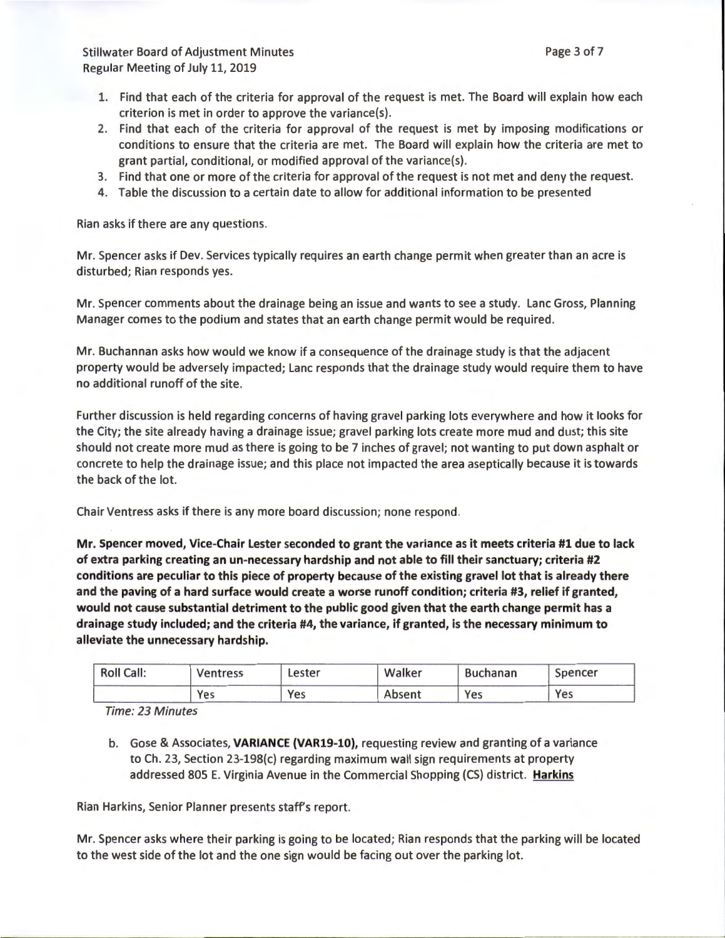Stillwater Board of Adjustment Minutes Regular Meeting of July 11, 2019

- 1. Find that each of the criteria for approval of the request is met. The Board will explain how each criterion is met in order to approve the variance(s).
- 2. Find that each of the criteria for approval of the request is met by imposing modifications or conditions to ensure that the criteria are met. The Board will explain how the criteria are met to grant partial, conditional, or modified approval of the variance(s).
- 3. Find that one or more of the criteria for approval of the request is not met and deny the request.
- 4. Table the discussion to a certain date to allow for additional information to be presented

Rian asks if there are any questions.

Mr. Spencer asks if Dev. Services typically requires an earth change permit when greater than an acre is disturbed; Rian responds yes.

Mr. Spencer comments about the drainage being an issue and wants to see a study. Lane Gross, Planning Manager comes to the podium and states that an earth change permit would be required.

Mr. Buchannan asks how would we know if a consequence of the drainage study is that the adjacent property would be adversely impacted; Lane responds that the drainage study would require them to have no additional runoff of the site.

Further discussion is held regarding concerns of having gravel parking lots everywhere and how it looks for the City; the site already having a drainage issue; gravel parking lots create more mud and dust; this site should not create more mud as there is going to be 7 inches of gravel; not wanting to put down asphalt or concrete to help the drainage issue; and this place not impacted the area aseptically because it is towards the back of the lot.

Chair Ventress asks if there is any more board discussion; none respond.

Mr. Spencer moved, Vice-Chair Lester seconded to grant the variance as it meets criteria #1 due to lack of extra parking creating an un-necessary hardship and not able to fill their sanctuary; criteria #2 conditions are peculiar to this piece of property because of the existing gravel lot that is already there and the paving of a hard surface would create a worse runoff condition; criteria #3, relief if granted, would not cause substantial detriment to the public good given that the earth change permit has a drainage study included; and the criteria #4, the variance, if granted, is the necessary minimum to alleviate the unnecessary hardship.

| <b>Roll Call:</b> | Ventress | Lester | Walker | <b>Buchanan</b> | Spencer |
|-------------------|----------|--------|--------|-----------------|---------|
|                   | Yes      | Yes    | Absent | Yes             | Yes     |

Time: 23 Minutes

b. Gose & Associates, VARIANCE {VAR19-10), requesting review and granting of a variance to Ch. 23, Section 23-198{c) regarding maximum wall sign requirements at property addressed 805 E. Virginia Avenue in the Commercial Shopping (CS) district. **Harkins** 

Rian Harkins, Senior Planner presents staff's report.

Mr. Spencer asks where their parking is going to be located; Rian responds that the parking will be located to the west side of the lot and the one sign would be facing out over the parking lot.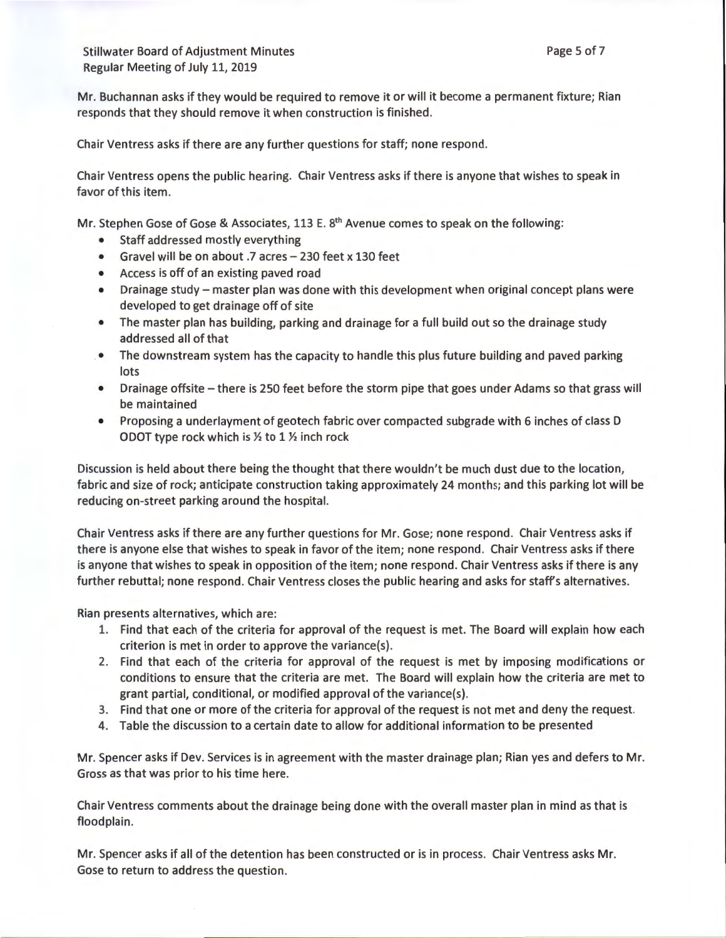Stillwater Board of Adjustment Minutes Regular Meeting of July 11, 2019

Mr. Buchannan asks if they would be required to remove it or will it become a permanent fixture; Rian responds that they should remove it when construction is finished.

Chair Ventress asks if there are any further questions for staff; none respond .

Chair Ventress opens the public hearing. Chair Ventress asks if there is anyone that wishes to speak in favor of this item.

Mr. Stephen Gose of Gose & Associates, 113 E.  $8<sup>th</sup>$  Avenue comes to speak on the following:

- Staff addressed mostly everything
- Gravel will be on about .7 acres 230 feet x 130 feet
- Access is off of an existing paved road
- Drainage study master plan was done with this development when original concept plans were developed to get drainage off of site
- The master plan has building, parking and drainage for a full build out so the drainage study addressed all of that
- . The downstream system has the capacity to handle this plus future building and paved parking lots
- Drainage offsite there is 250 feet before the storm pipe that goes under Adams so that grass will be maintained
- Proposing a underlayment of geotech fabric over compacted subgrade with 6 inches of class D ODOT type rock which is  $\frac{1}{2}$  to 1  $\frac{1}{2}$  inch rock

Discussion is held about there being the thought that there wouldn't be much dust due to the location, fabric and size of rock; anticipate construction taking approximately 24 months; and this parking lot will be reducing on-street parking around the hospital.

Chair Ventress asks if there are any further questions for Mr. Gose; none respond. Chair Ventress asks if there is anyone else that wishes to speak in favor of the item; none respond. Chair Ventress asks if there is anyone that wishes to speak in opposition of the item; none respond. Chair Ventress asks if there is any further rebuttal; none respond. Chair Ventress closes the public hearing and asks for staff's alternatives.

Rian presents alternatives, which are:

- 1. Find that each of the criteria for approval of the request is met. The Board will explain how each criterion is met in order to approve the variance(s).
- 2. Find that each of the criteria for approval of the request is met by imposing modifications or conditions to ensure that the criteria are met. The Board will explain how the criteria are met to grant partial, conditional, or modified approval of the variance(s).
- 3. Find that one or more of the criteria for approval of the request is not met and deny the request.
- 4. Table the discussion to a certain date to allow for additional information to be presented

Mr. Spencer asks if Dev. Services is in agreement with the master drainage plan; Rian yes and defers to Mr. Gross as that was prior to his time here.

Chair Ventress comments about the drainage being done with the overall master plan in mind as that is floodplain.

Mr. Spencer asks if all of the detention has been constructed or is in process. Chair Ventress asks Mr. Gose to return to address the question.